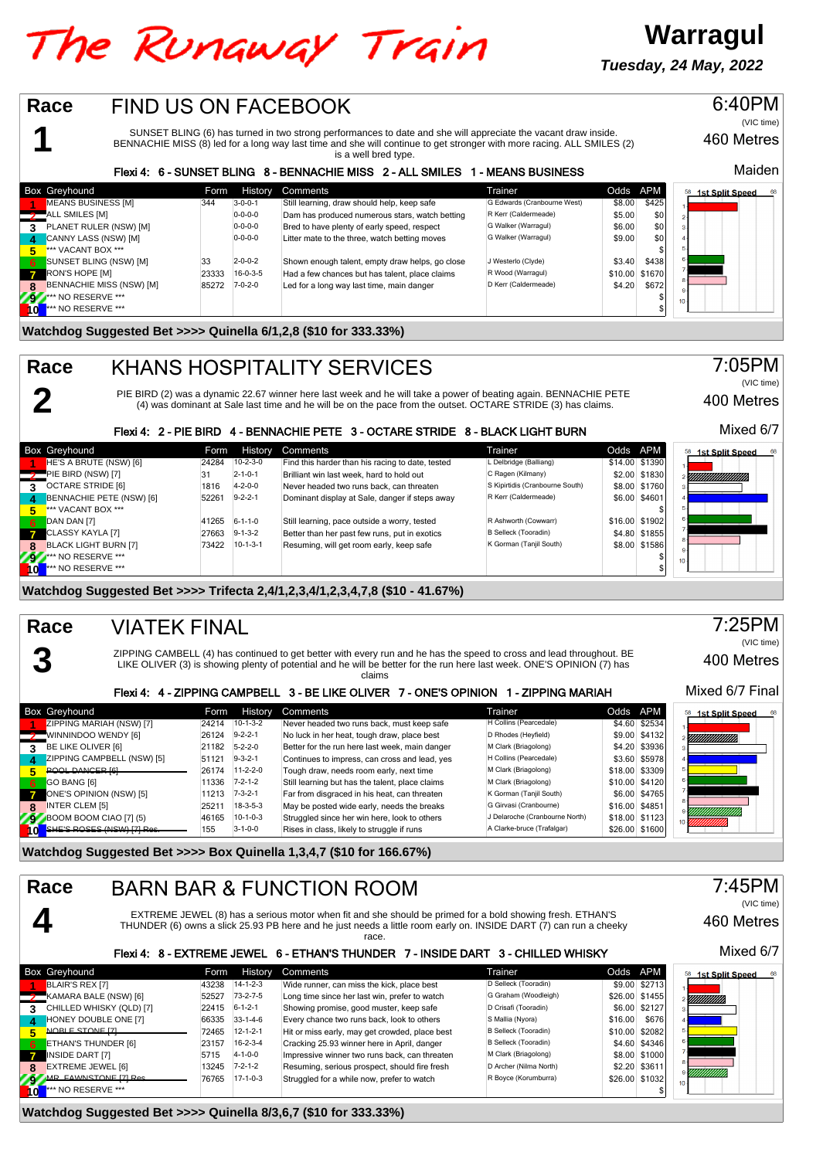## The Runaway Train

**Warragul Tuesday, 24 May, 2022**

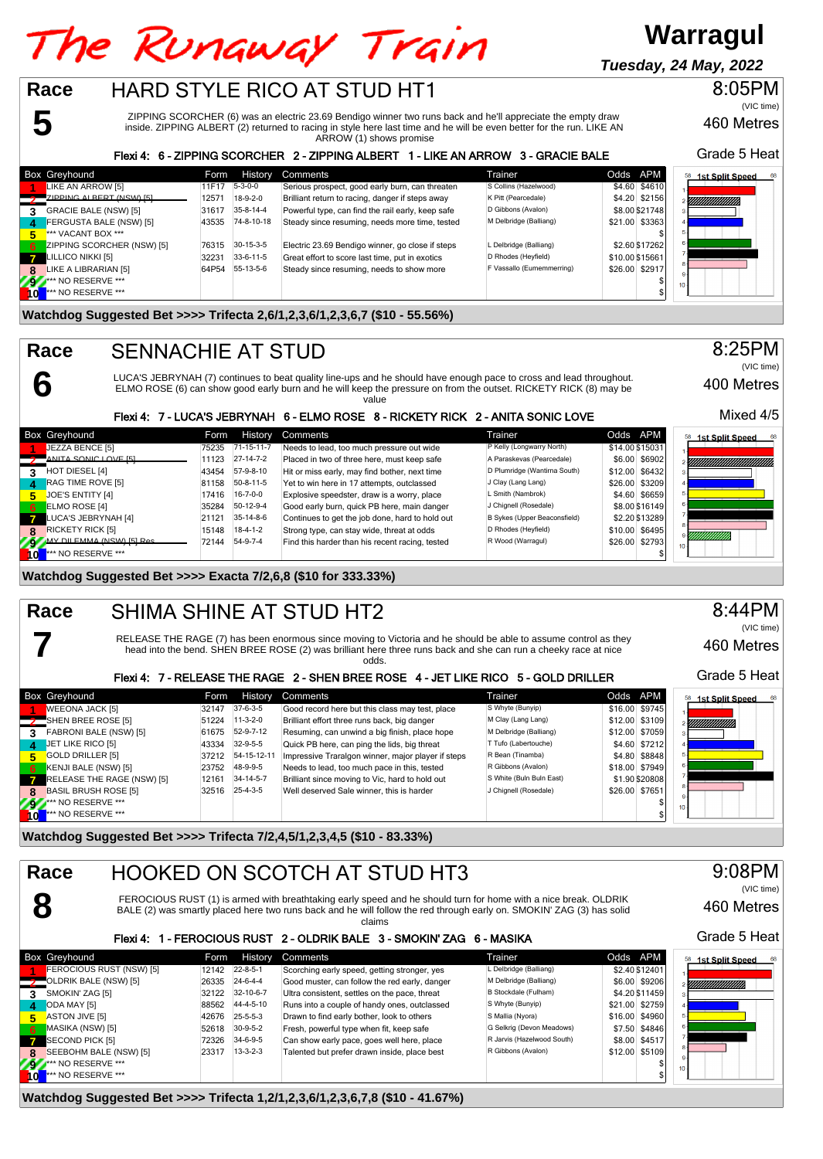# The Runaway Train

## **Warragul**

460 Metres

Grade 5 Heat

400 Metres

Mixed 4/5

8:25PM

(VIC time)

8:05PM

(VIC time)

**Tuesday, 24 May, 2022**

## HARD STYLE RICO AT STUD HT1

ZIPPING SCORCHER (6) was an electric 23.69 Bendigo winner two runs back and he'll appreciate the empty draw inside. ZIPPING ALBERT (2) returned to racing in style here last time and he will be even better for the run. LIKE AN ARROW (1) shows promise

#### Flexi 4: 6 - ZIPPING SCORCHER 2 - ZIPPING ALBERT 1 - LIKE AN ARROW 3 - GRACIE BALE

|                        | <b>Box Greyhound</b>       | Form     | History         | Comments                                          | Trainer                   | Odds APM        | <b>1st Split Speed</b><br>68 |
|------------------------|----------------------------|----------|-----------------|---------------------------------------------------|---------------------------|-----------------|------------------------------|
|                        | LIKE AN ARROW [5]          | 11F17    | $5 - 3 - 0 - 0$ | Serious prospect, good early burn, can threaten   | S Collins (Hazelwood)     | \$4.60 \$4610   |                              |
|                        | 'ZIPPING ALBERT (NSW) [5]  | 1257     | $18-9-2-0$      | Brilliant return to racing, danger if steps away  | K Pitt (Pearcedale)       | \$4.20 \$2156   | YMMMMMM                      |
|                        | GRACIE BALE (NSW) [5]      | 31617    | 35-8-14-4       | Powerful type, can find the rail early, keep safe | D Gibbons (Avalon)        | \$8.00 \$21748  |                              |
| $\boldsymbol{\Lambda}$ | FERGUSTA BALE (NSW) [5]    | 43535    | 74-8-10-18      | Steady since resuming, needs more time, tested    | M Delbridge (Balliang)    | \$21.00 \$3363  |                              |
|                        | *** VACANT BOX ***         |          |                 |                                                   |                           |                 |                              |
| -6                     | ZIPPING SCORCHER (NSW) [5] | 76315    | 30-15-3-5       | Electric 23.69 Bendigo winner, go close if steps  | L Delbridge (Balliang)    | \$2.60 \$17262  |                              |
| $\mathbf{z}$           | LILLICO NIKKI [5]          | $3223 -$ | 33-6-11-5       | Great effort to score last time, put in exotics   | D Rhodes (Heyfield)       | \$10.00 \$15661 |                              |
|                        | LIKE A LIBRARIAN [5]       | 64P54    | 55-13-5-6       | Steady since resuming, needs to show more         | F Vassallo (Eumemmerring) | \$26.00 \$2917  |                              |
|                        | *** NO RESERVE ***         |          |                 |                                                   |                           |                 | 10 <sub>1</sub>              |
|                        | *** NO RESERVE ***         |          |                 |                                                   |                           |                 |                              |

**Watchdog Suggested Bet >>>> Trifecta 2,6/1,2,3,6/1,2,3,6,7 (\$10 - 55.56%)**

### SENNACHIE AT STUD

**5**

**6**

**7**

**8**

**Race**

**Race**

LUCA'S JEBRYNAH (7) continues to beat quality line-ups and he should have enough pace to cross and lead throughout. ELMO ROSE (6) can show good early burn and he will keep the pressure on from the outset. RICKETY RICK (8) may be value

#### Flexi 4: 7 - LUCA'S JEBRYNAH 6 - ELMO ROSE 8 - RICKETY RICK 2 - ANITA SONIC LOVE

|              | <b>Box Greyhound</b>                   | Form  | <b>History</b>   | Comments                                        | Trainer                      | Odds APM        | 1st Split Speed<br>68 |
|--------------|----------------------------------------|-------|------------------|-------------------------------------------------|------------------------------|-----------------|-----------------------|
|              | JEZZA BENCE [5]                        | 75235 | 71-15-11-7       | Needs to lead, too much pressure out wide       | P Kelly (Longwarry North)    | \$14.00 \$15031 |                       |
|              | ANITA SONIC LOVE ISL                   | 11123 | $27-14-7-2$      | Placed in two of three here, must keep safe     | A Paraskevas (Pearcedale)    | \$6.00 \$6902   | YMMMMMMMMMMMM         |
| 3.           | HOT DIESEL [4]                         | 43454 | 57-9-8-10        | Hit or miss early, may find bother, next time   | D Plumridge (Wantirna South) | \$12.00 \$6432  |                       |
| 4            | RAG TIME ROVE [5]                      | 81158 | 50-8-11-5        | Yet to win here in 17 attempts, outclassed      | J Clay (Lang Lang)           | \$26.00 \$3209  |                       |
| 5.           | JOE'S ENTITY [4]                       | 17416 | $16 - 7 - 0 - 0$ | Explosive speedster, draw is a worry, place     | L Smith (Nambrok)            | \$4.60 \$6659   |                       |
| -6           | ELMO ROSE [4]                          | 35284 | 50-12-9-4        | Good early burn, quick PB here, main danger     | J Chignell (Rosedale)        | \$8.00 \$16149  |                       |
| $\mathbf{z}$ | LUCA'S JEBRYNAH [4]                    | 21121 | 35-14-8-6        | Continues to get the job done, hard to hold out | B Sykes (Upper Beaconsfield) | \$2.20 \$13289  |                       |
| 8            | <b>RICKETY RICK [5]</b>                | 15148 | $18-4-1-2$       | Strong type, can stay wide, threat at odds      | D Rhodes (Heyfield)          | \$10.00 \$6495  |                       |
|              | MY DILEMMA (NSW) ISI Res.              | 72144 | 54-9-7-4         | Find this harder than his recent racing, tested | R Wood (Warragul)            | \$26.00 \$2793  | UMMUMI                |
| l ol         | <b>I</b> <sup>***</sup> NO RESERVE *** |       |                  |                                                 |                              |                 |                       |

**Watchdog Suggested Bet >>>> Exacta 7/2,6,8 (\$10 for 333.33%)**

#### SHIMA SHINE AT STUD HT2 **Race**

RELEASE THE RAGE (7) has been enormous since moving to Victoria and he should be able to assume control as they head into the bend. SHEN BREE ROSE (2) was brilliant here three runs back and she can run a cheeky race at nice odds.

#### Flexi 4: 7 - RELEASE THE RAGE 2 - SHEN BREE ROSE 4 - JET LIKE RICO 5 - GOLD DRILLER

|              | <b>Box Greyhound</b>        | Form  | History          | Comments                                           | Trainer                  | Odds APM       |                | 1st Split Speed<br>68<br>58 |
|--------------|-----------------------------|-------|------------------|----------------------------------------------------|--------------------------|----------------|----------------|-----------------------------|
|              | <b>WEEONA JACK [5]</b>      | 32147 | $37-6-3-5$       | Good record here but this class may test, place    | S Whyte (Bunyip)         |                | \$16.00 \$9745 |                             |
|              | $\sim$ SHEN BREE ROSE [5]   | 51224 | $11-3-2-0$       | Brilliant effort three runs back, big danger       | M Clay (Lang Lang)       |                | \$12.00 \$3109 | <i>ЧШШШШ</i> Ь              |
| 3            | FABRONI BALE (NSW) [5]      | 61675 | 52-9-7-12        | Resuming, can unwind a big finish, place hope      | M Delbridge (Balliang)   |                | \$12.00 \$7059 |                             |
| $\mathbf{A}$ | JET LIKE RICO [5]           | 43334 | 32-9-5-5         | Quick PB here, can ping the lids, big threat       | T Tufo (Labertouche)     |                | \$4.60 \$7212  |                             |
| 5.           | GOLD DRILLER [5]            | 37212 | 54-15-12-11      | Impressive Traralgon winner, major player if steps | R Bean (Tinamba)         |                | \$4.80 \$8848  |                             |
| 6            | KENJI BALE (NSW) [5]        | 23752 | 48-9-9-5         | Needs to lead, too much pace in this, tested       | R Gibbons (Avalon)       |                | \$18,00 \$7949 |                             |
|              | RELEASE THE RAGE (NSW) [5]  | 12161 | 34-14-5-7        | Brilliant since moving to Vic, hard to hold out    | S White (Buln Buln East) |                | \$1.90 \$20808 |                             |
| 8            | <b>BASIL BRUSH ROSE [5]</b> | 32516 | $25 - 4 - 3 - 5$ | Well deserved Sale winner, this is harder          | J Chignell (Rosedale)    | \$26.00 \$7651 |                |                             |
|              | 9 MM NO RESERVE ***         |       |                  |                                                    |                          |                |                | 10 <sup>1</sup>             |
| $\mathbf{I}$ | $**$ NO RESERVE ***         |       |                  |                                                    |                          |                |                |                             |

**Watchdog Suggested Bet >>>> Trifecta 7/2,4,5/1,2,3,4,5 (\$10 - 83.33%)**

#### HOOKED ON SCOTCH AT STUD HT3 **Race**

FEROCIOUS RUST (1) is armed with breathtaking early speed and he should turn for home with a nice break. OLDRIK BALE (2) was smartly placed here two runs back and he will follow the red through early on. SMOKIN' ZAG (3) has solid claims

#### Flexi 4: 1 - FEROCIOUS RUST 2 - OLDRIK BALE 3 - SMOKIN' ZAG 6 - MASIKA

|           | Box Greyhound            | Form  | History          | Comments                                      | Trainer                    | Odds APM |                | 68<br><b>1st Split Speed</b> |
|-----------|--------------------------|-------|------------------|-----------------------------------------------|----------------------------|----------|----------------|------------------------------|
|           | FEROCIOUS RUST (NSW) [5] | 12142 | $22 - 8 - 5 - 1$ | Scorching early speed, getting stronger, yes  | L Delbridge (Balliang)     |          | \$2.40 \$12401 |                              |
|           | OLDRIK BALE (NSW) [5]    | 26335 | $24 - 6 - 4 - 4$ | Good muster, can follow the red early, danger | M Delbridge (Balliang)     |          | \$6.00 \$9206  | YMMMMMMM                     |
|           | SMOKIN' ZAG [5]          | 32122 | 32-10-6-7        | Ultra consistent, settles on the pace, threat | B Stockdale (Fulham)       |          | \$4.20 \$11459 |                              |
| 4.        | ODA MAY [5]              | 88562 | 44-4-5-10        | Runs into a couple of handy ones, outclassed  | S Whyte (Bunyip)           |          | \$21.00 \$2759 |                              |
| 5.        | <b>ASTON JIVE I51</b>    | 42676 | $25 - 5 - 5 - 3$ | Drawn to find early bother, look to others    | S Mallia (Nyora)           |          | \$16.00 \$4960 |                              |
| 6         | MASIKA (NSW) [5]         | 52618 | $30-9-5-2$       | Fresh, powerful type when fit, keep safe      | G Selkrig (Devon Meadows)  |          | \$7.50 \$4846  |                              |
|           | SECOND PICK [5]          | 72326 | 34-6-9-5         | Can show early pace, goes well here, place    | R Jarvis (Hazelwood South) |          | \$8.00 \$4517  |                              |
|           | SEEBOHM BALE (NSW) [5]   | 23317 | $13 - 3 - 2 - 3$ | Talented but prefer drawn inside, place best  | R Gibbons (Avalon)         |          | \$12.00 \$5109 |                              |
| <b>AV</b> | NO RESERVE ***           |       |                  |                                               |                            |          |                | 10 <sub>10</sub>             |
|           | *** NO RESERVE ***       |       |                  |                                               |                            |          |                |                              |

**Watchdog Suggested Bet >>>> Trifecta 1,2/1,2,3,6/1,2,3,6,7,8 (\$10 - 41.67%)**

8:44PM (VIC time)

460 Metres

Grade 5 Heat



460 Metres

Grade 5 Heat

9:08PM

(VIC time)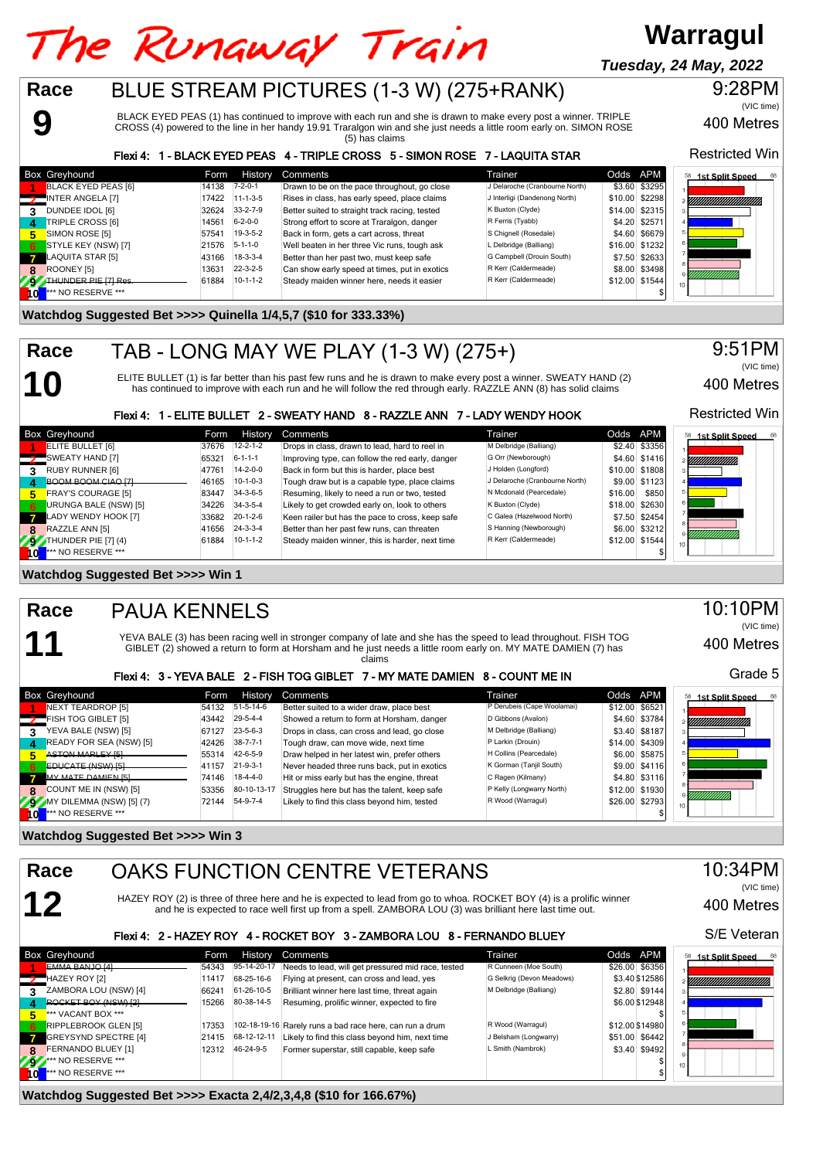#### The Runaway Train **Warragul Tuesday, 24 May, 2022**BLUE STREAM PICTURES (1-3 W) (275+RANK) **Race** 9:28PM

BLACK EYED PEAS (1) has continued to improve with each run and she is drawn to make every post a winner. TRIPLE CROSS (4) powered to the line in her handy 19.91 Traralgon win and she just needs a little room early on. SIMON ROSE (5) has claims

Flexi 4: 1 - BLACK EYED PEAS 4 - TRIPLE CROSS 5 - SIMON ROSE 7 - LAQUITA STAR

|              | <b>Box Greyhound</b>          | Form  | History          | Comments                                       | Trainer                        | Odds APM |                | 1st Split Speed<br>68 |
|--------------|-------------------------------|-------|------------------|------------------------------------------------|--------------------------------|----------|----------------|-----------------------|
|              | BLACK EYED PEAS [6]           | 14138 | $7 - 2 - 0 - 1$  | Drawn to be on the pace throughout, go close   | J Delaroche (Cranbourne North) |          | \$3.60 \$3295  |                       |
|              | INTER ANGELA [7]              | 17422 | $11-1-3-5$       | Rises in class, has early speed, place claims  | J Interligi (Dandenong North)  |          | \$10.00 \$2298 |                       |
|              | DUNDEE IDOL [6]               | 32624 | $33 - 2 - 7 - 9$ | Better suited to straight track racing, tested | K Buxton (Clyde)               |          | \$14.00 \$2315 |                       |
| Δ            | <b>TRIPLE CROSS [6]</b>       | 14561 | $6 - 2 - 0 - 0$  | Strong effort to score at Traralgon, danger    | R Ferris (Tyabb)               |          | \$4.20 \$2571  |                       |
| Б,           | SIMON ROSE [5]                | 57541 | $19-3-5-2$       | Back in form, gets a cart across, threat       | S Chignell (Rosedale)          |          | \$4.60 \$6679  |                       |
| - 6          | STYLE KEY (NSW) [7]           | 21576 | $5 - 1 - 1 - 0$  | Well beaten in her three Vic runs, tough ask   | L Delbridge (Balliang)         |          | \$16.00 \$1232 |                       |
| $\mathbf{z}$ | LAQUITA STAR [5]              | 43166 | $18-3-3-4$       | Better than her past two, must keep safe       | G Campbell (Drouin South)      |          | \$7.50 \$2633  |                       |
| 8            | ROONEY [5]                    | 13631 | $22 - 3 - 2 - 5$ | Can show early speed at times, put in exotics  | R Kerr (Caldermeade)           |          | \$8.00 \$3498  |                       |
|              | THUNDER PIE [7] Res.          | 61884 | $10-1-1-2$       | Steady maiden winner here, needs it easier     | R Kerr (Caldermeade)           |          | \$12.00 \$1544 | ,,,,,,,,,,,,,,,,,,    |
|              | <sup>***</sup> NO RESERVE *** |       |                  |                                                |                                |          |                |                       |

#### **Watchdog Suggested Bet >>>> Quinella 1/4,5,7 (\$10 for 333.33%)**

### TAB - LONG MAY WE PLAY (1-3 W) (275+)

ELITE BULLET (1) is far better than his past few runs and he is drawn to make every post a winner. SWEATY HAND (2) has continued to improve with each run and he will follow the red through early. RAZZLE ANN (8) has solid claims

Flexi 4: 1 - ELITE BULLET 2 - SWEATY HAND 8 - RAZZLE ANN 7 - LADY WENDY HOOK

|     | <b>Box Greyhound</b>  | Form  | <b>History</b>   | Comments                                         | Trainer                        | Odds APM |                | 58<br><b>1st Split Speed</b> |
|-----|-----------------------|-------|------------------|--------------------------------------------------|--------------------------------|----------|----------------|------------------------------|
|     | ELITE BULLET [6]      | 37676 | $12 - 2 - 1 - 2$ | Drops in class, drawn to lead, hard to reel in   | M Delbridge (Balliang)         |          | \$2.40 \$3356  |                              |
|     | SWEATY HAND [7]       | 65321 | $6 - 1 - 1 - 1$  | Improving type, can follow the red early, danger | G Orr (Newborough)             |          | \$4.60 \$1416  | YMMMMMM                      |
|     | RUBY RUNNER [6]       | 47761 | $14 - 2 - 0 - 0$ | Back in form but this is harder, place best      | J Holden (Longford)            |          | \$10.00 \$1808 |                              |
|     | BOOM BOOM CIAO [7]    | 46165 | $10-1-0-3$       | Tough draw but is a capable type, place claims   | J Delaroche (Cranbourne North) |          | \$9.00 \$1123  |                              |
| 5   | FRAY'S COURAGE [5]    | 83447 | 34-3-6-5         | Resuming, likely to need a run or two, tested    | N Mcdonald (Pearcedale)        | \$16.00  | \$850          |                              |
| - 6 | URUNGA BALE (NSW) [5] | 34226 | $34 - 3 - 5 - 4$ | Likely to get crowded early on, look to others   | K Buxton (Clyde)               |          | \$18.00 \$2630 |                              |
|     | LADY WENDY HOOK [7]   | 33682 | $20 - 1 - 2 - 6$ | Keen railer but has the pace to cross, keep safe | C Galea (Hazelwood North)      |          | \$7.50 \$2454  |                              |
| 8   | RAZZLE ANN [5]        | 41656 | $24 - 3 - 3 - 4$ | Better than her past few runs, can threaten      | S Hanning (Newborough)         |          | \$6.00 \$3212  |                              |
|     | THUNDER PIE [7] (4)   | 61884 | $10-1-1-2$       | Steady maiden winner, this is harder, next time  | R Kerr (Caldermeade)           |          | \$12.00 \$1544 | <i>ummummu</i>               |
|     | *** NO RESERVE ***    |       |                  |                                                  |                                |          |                |                              |

**Watchdog Suggested Bet >>>> Win 1**

**11 Race**

**9**

**10**

**Race**

#### PAUA KENNELS

YEVA BALE (3) has been racing well in stronger company of late and she has the speed to lead throughout. FISH TOG GIBLET (2) showed a return to form at Horsham and he just needs a little room early on. MY MATE DAMIEN (7) has claims

#### Flexi 4: 3 - YEVA BALE 2 - FISH TOG GIBLET 7 - MY MATE DAMIEN 8 - COUNT ME IN

|              | <b>Box Greyhound</b>          | <b>Form</b> | History          | Comments                                     | Trainer                    | Odds APM         |                | <b>1st Split Speed</b><br>58 |
|--------------|-------------------------------|-------------|------------------|----------------------------------------------|----------------------------|------------------|----------------|------------------------------|
|              | NEXT TEARDROP [5]             | 54132       | 51-5-14-6        | Better suited to a wider draw, place best    | P Derubeis (Cape Woolamai) | $$12.00$ $$6521$ |                |                              |
|              | <b>7</b> FISH TOG GIBLET [5]  | 43442       | 29-5-4-4         | Showed a return to form at Horsham, danger   | D Gibbons (Avalon)         |                  | \$4.60 \$3784  | YMMMMMMMM                    |
| 3            | YEVA BALE (NSW) [5]           | 67127       | $23 - 5 - 6 - 3$ | Drops in class, can cross and lead, go close | M Delbridge (Balliang)     |                  | \$3.40 \$8187  |                              |
| $\mathbf{A}$ | READY FOR SEA (NSW) [5]       | 42426       | $38 - 7 - 7 - 1$ | Tough draw, can move wide, next time         | P Larkin (Drouin)          |                  | \$14.00 \$4309 |                              |
|              | <b>ASTON MARLEY [5]</b>       | 55314       | 42-6-5-9         | Draw helped in her latest win, prefer others | H Collins (Pearcedale)     |                  | \$6.00 \$5875  |                              |
| 6            | <b>EDUCATE (NSW) [5]</b>      | 41157       | $21 - 9 - 3 - 1$ | Never headed three runs back, put in exotics | K Gorman (Tanjil South)    |                  | \$9.00 \$4116  |                              |
|              | MY MATE DAMIEN [5]            | 74146       | $18-4-4-0$       | Hit or miss early but has the engine, threat | C Ragen (Kilmany)          |                  | \$4.80 \$3116  |                              |
| 8            | COUNT ME IN (NSW) [5]         | 53356       | 80-10-13-17      | Struggles here but has the talent, keep safe | P Kelly (Longwarry North)  |                  | \$12.00 \$1930 |                              |
| 797          | MY DILEMMA (NSW) [5] (7)      | 72144       | 54-9-7-4         | Likely to find this class beyond him, tested | R Wood (Warragul)          |                  | \$26.00 \$2793 | ,,,,,,,,,,,,,,               |
| 10           | <sup>***</sup> NO RESERVE *** |             |                  |                                              |                            |                  |                |                              |

**Watchdog Suggested Bet >>>> Win 3**



**7** GREYSYND SPECTRE [4] 21415 68-12-12-11 Likely to find this class beyond him, next time J Belsham (Longwarry) \$51.00 \$6442<br> **72319 12312 1246-24-9-5** Former superstar, still capable, keep safe L Smith (Nambrok) \$3.40 \$9

**9** \*\*\* NO RESERVE \*\*\* \$ **10**  $\overline{10}$  \*\*\* NO RESERVE \*\*\* \$

**Watchdog Suggested Bet >>>> Exacta 2,4/2,3,4,8 (\$10 for 166.67%)**

**8** FERNANDO BLUEY [1] 12312 46-24-9-5 Former superstar, still capable, keep safe  $\star$  NO RESERVE \*\*\*



400 Metres

Restricted Win

9:51PM

(VIC time)

400 Metres

(VIC time)

Restricted Win

### 10:10PM

400 Metres

Grade 5

(VIC time)